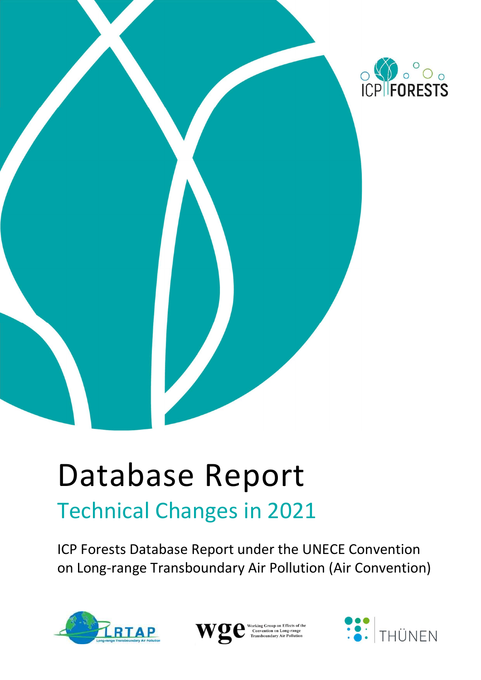

# Database Report Technical Changes in 2021

ICP Forests Database Report under the UNECE Convention on Long-range Transboundary Air Pollution (Air Convention)





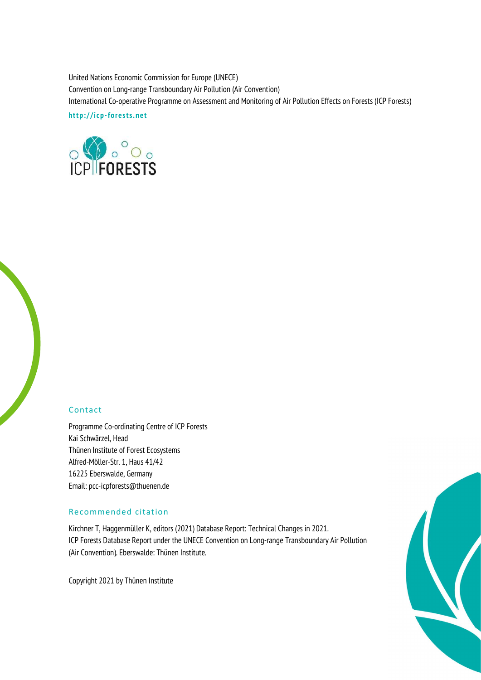United Nations Economic Commission for Europe (UNECE) Convention on Long-range Transboundary Air Pollution (Air Convention) International Co-operative Programme on Assessment and Monitoring of Air Pollution Effects on Forests (ICP Forests) http://icp-forests.net



#### Contact

Programme Co-ordinating Centre of ICP Forests Kai Schwärzel, Head Thünen Institute of Forest Ecosystems Alfred-Möller-Str. 1, Haus 41/42 16225 Eberswalde, Germany Email: pcc-icpforests@thuenen.de

#### Recommended citation

Kirchner T, Haggenmüller K, editors (2021) Database Report: Technical Changes in 2021. ICP Forests Database Report under the UNECE Convention on Long-range Transboundary Air Pollution (Air Convention). Eberswalde: Thünen Institute.

Copyright 2021 by Thünen Institute

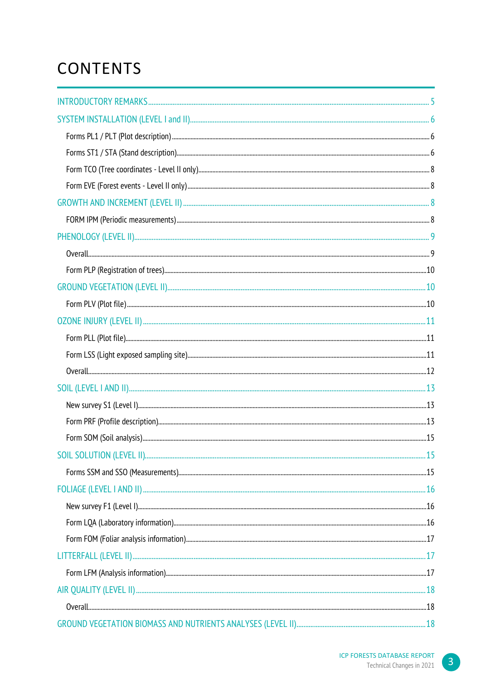# **CONTENTS**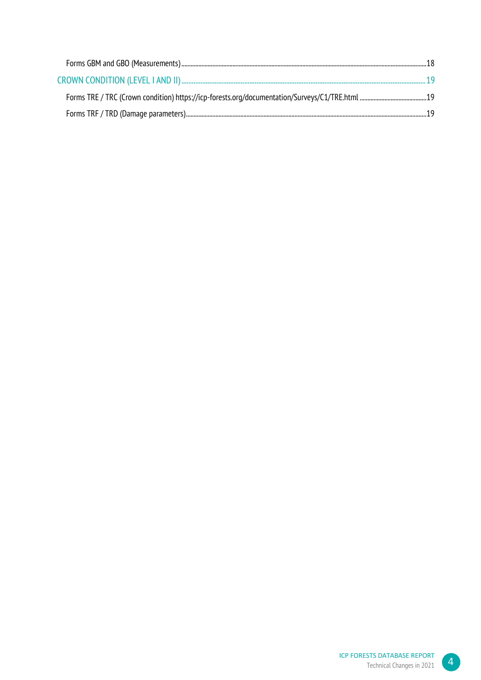$\begin{array}{c} 4 \end{array}$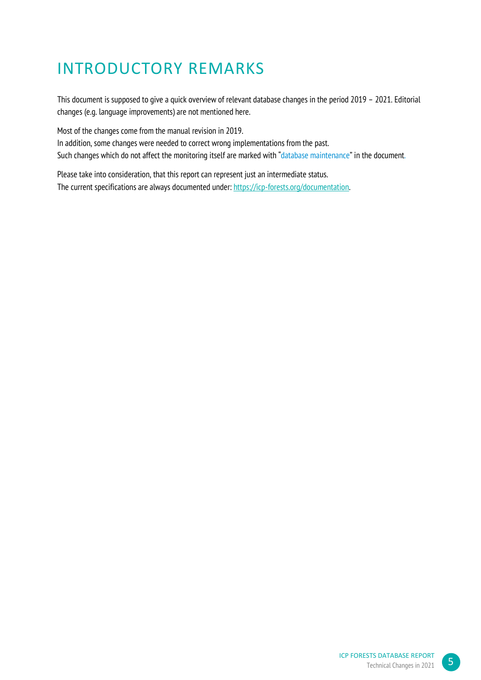# INTRODUCTORY REMARKS

This document is supposed to give a quick overview of relevant database changes in the period 2019 – 2021. Editorial changes (e.g. language improvements) are not mentioned here.

Most of the changes come from the manual revision in 2019. In addition, some changes were needed to correct wrong implementations from the past. Such changes which do not affect the monitoring itself are marked with "database maintenance" in the document.

Please take into consideration, that this report can represent just an intermediate status. The current specifications are always documented under: https://icp-forests.org/documentation.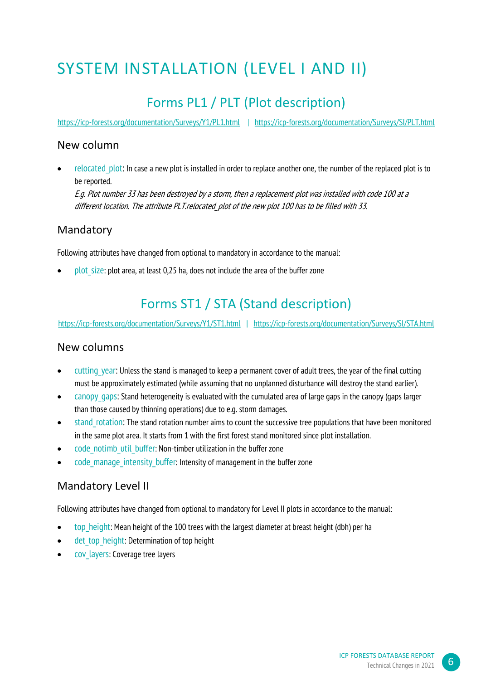# SYSTEM INSTALLATION (LEVEL I AND II)

# Forms PL1 / PLT (Plot description)

https://icp-forests.org/documentation/Surveys/Y1/PL1.html | https://icp-forests.org/documentation/Surveys/SI/PLT.html

#### New column

relocated plot: In case a new plot is installed in order to replace another one, the number of the replaced plot is to be reported. E.g. Plot number 33 has been destroyed by a storm, then a replacement plot was installed with code 100 at a different location. The attribute PLT.relocated\_plot of the new plot 100 has to be filled with 33.

#### Mandatory

Following attributes have changed from optional to mandatory in accordance to the manual:

plot\_size: plot area, at least 0,25 ha, does not include the area of the buffer zone

# Forms ST1 / STA (Stand description)

https://icp-forests.org/documentation/Surveys/Y1/ST1.html | https://icp-forests.org/documentation/Surveys/SI/STA.html

#### New columns

- cutting year: Unless the stand is managed to keep a permanent cover of adult trees, the year of the final cutting must be approximately estimated (while assuming that no unplanned disturbance will destroy the stand earlier).
- canopy gaps: Stand heterogeneity is evaluated with the cumulated area of large gaps in the canopy (gaps larger than those caused by thinning operations) due to e.g. storm damages.
- stand rotation: The stand rotation number aims to count the successive tree populations that have been monitored in the same plot area. It starts from 1 with the first forest stand monitored since plot installation.
- code\_notimb\_util\_buffer: Non-timber utilization in the buffer zone
- code manage intensity buffer: Intensity of management in the buffer zone

## Mandatory Level II

Following attributes have changed from optional to mandatory for Level II plots in accordance to the manual:

- top height: Mean height of the 100 trees with the largest diameter at breast height (dbh) per ha
- det top height: Determination of top height
- cov\_layers: Coverage tree layers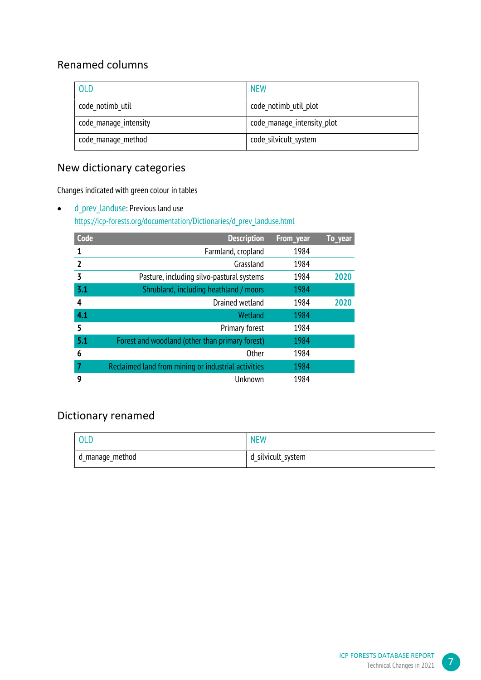## Renamed columns

| <b>OLD</b>            | <b>NEW</b>                 |
|-----------------------|----------------------------|
| code notimb util      | code notimb util plot      |
| code manage intensity | code_manage_intensity plot |
| code manage method    | code silvicult system      |

## New dictionary categories

Changes indicated with green colour in tables

• d prev landuse: Previous land use https://icp-forests.org/documentation/Dictionaries/d\_prev\_landuse.html

| Code           | <b>Description</b>                                  | From year | To_year |
|----------------|-----------------------------------------------------|-----------|---------|
|                | Farmland, cropland                                  | 1984      |         |
| $\mathbf{2}$   | Grassland                                           | 1984      |         |
| 3              | Pasture, including silvo-pastural systems           | 1984      | 2020    |
| 3.1            | Shrubland, including heathland / moors              | 1984      |         |
| 4              | Drained wetland                                     | 1984      | 2020    |
| 4.1            | Wetland                                             | 1984      |         |
| 5              | Primary forest                                      | 1984      |         |
| 5.1            | Forest and woodland (other than primary forest)     | 1984      |         |
| 6              | <b>Other</b>                                        | 1984      |         |
| $\overline{7}$ | Reclaimed land from mining or industrial activities | 1984      |         |
| 9              | Unknown                                             | 1984      |         |

## Dictionary renamed

| <b>OLD</b>      | <b>NEW</b>         |
|-----------------|--------------------|
| d_manage_method | d_silvicult_system |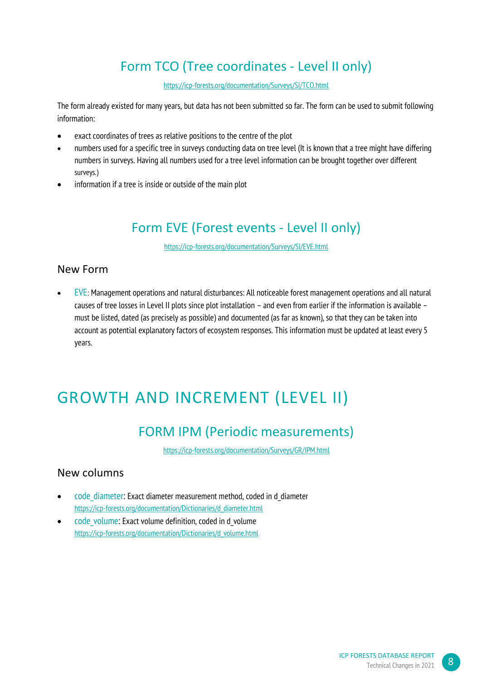# Form TCO (Tree coordinates - Level II only)

#### https://icp-forests.org/documentation/Surveys/SI/TCO.html

The form already existed for many years, but data has not been submitted so far. The form can be used to submit following information:

- exact coordinates of trees as relative positions to the centre of the plot
- numbers used for a specific tree in surveys conducting data on tree level (It is known that a tree might have differing numbers in surveys. Having all numbers used for a tree level information can be brought together over different surveys.)
- information if a tree is inside or outside of the main plot

# Form EVE (Forest events - Level II only)

https://icp-forests.org/documentation/Surveys/SI/EVE.html

#### New Form

 EVE: Management operations and natural disturbances: All noticeable forest management operations and all natural causes of tree losses in Level II plots since plot installation – and even from earlier if the information is available – must be listed, dated (as precisely as possible) and documented (as far as known), so that they can be taken into account as potential explanatory factors of ecosystem responses. This information must be updated at least every 5 years.

# GROWTH AND INCREMENT (LEVEL II)

## FORM IPM (Periodic measurements)

https://icp-forests.org/documentation/Surveys/GR/IPM.html

#### New columns

- code diameter: Exact diameter measurement method, coded in d diameter https://icp-forests.org/documentation/Dictionaries/d\_diameter.html
- code\_volume: Exact volume definition, coded in d\_volume https://icp-forests.org/documentation/Dictionaries/d\_volume.html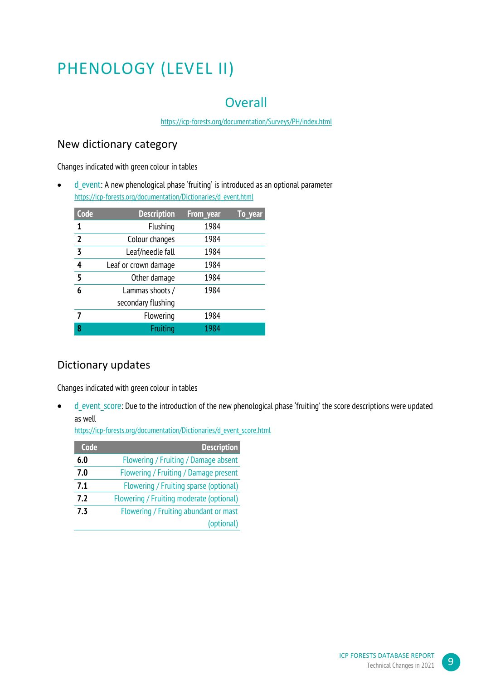# PHENOLOGY (LEVEL II)

# **Overall**

https://icp-forests.org/documentation/Surveys/PH/index.html

#### New dictionary category

Changes indicated with green colour in tables

d event: A new phenological phase 'fruiting' is introduced as an optional parameter https://icp-forests.org/documentation/Dictionaries/d\_event.html

| Code           | <b>Description</b>   | From_year |  |
|----------------|----------------------|-----------|--|
| 1              | Flushing             | 1984      |  |
| $\overline{2}$ | Colour changes       | 1984      |  |
| $\overline{3}$ | Leaf/needle fall     | 1984      |  |
| 4              | Leaf or crown damage | 1984      |  |
|                | Other damage         | 1984      |  |
| 6              | Lammas shoots /      | 1984      |  |
|                | secondary flushing   |           |  |
| 7              | Flowering            | 1984      |  |
| 8              | Fruiting             | 1984      |  |

#### Dictionary updates

Changes indicated with green colour in tables

• d event score: Due to the introduction of the new phenological phase 'fruiting' the score descriptions were updated as well

https://icp-forests.org/documentation/Dictionaries/d\_event\_score.html

| Code | <b>Description</b>                       |
|------|------------------------------------------|
| 6.0  | Flowering / Fruiting / Damage absent     |
| 7.0  | Flowering / Fruiting / Damage present    |
| 7.1  | Flowering / Fruiting sparse (optional)   |
| 7.2  | Flowering / Fruiting moderate (optional) |
| 7.3  | Flowering / Fruiting abundant or mast    |
|      | (optional)                               |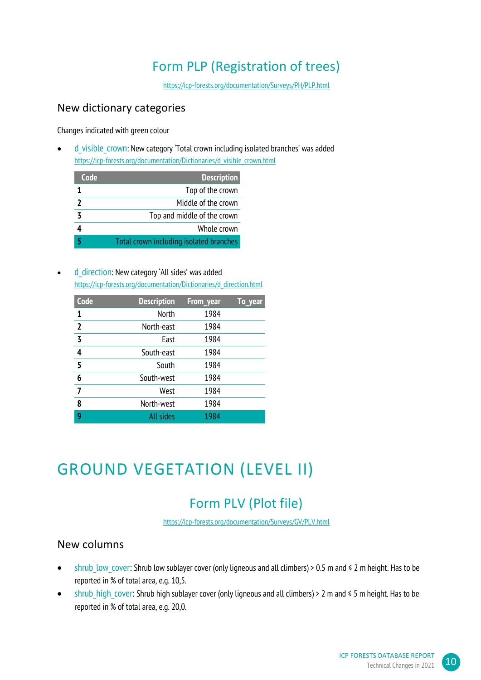# Form PLP (Registration of trees)

https://icp-forests.org/documentation/Surveys/PH/PLP.html

#### New dictionary categories

Changes indicated with green colour

 d\_visible\_crown: New category 'Total crown including isolated branches' was added https://icp-forests.org/documentation/Dictionaries/d\_visible\_crown.html

| <b>Code</b>    | <b>Description</b>                      |
|----------------|-----------------------------------------|
|                | Top of the crown                        |
| $\overline{2}$ | Middle of the crown                     |
| 3              | Top and middle of the crown             |
|                | Whole crown                             |
|                | Total crown including isolated branches |

 $\bullet$  d direction: New category 'All sides' was added https://icp-forests.org/documentation/Dictionaries/d\_direction.html

| Code           | <b>Description</b> | From year | To year |
|----------------|--------------------|-----------|---------|
| 1              | North              | 1984      |         |
| $\mathbf{2}$   | North-east         | 1984      |         |
| $\overline{3}$ | East               | 1984      |         |
| 4              | South-east         | 1984      |         |
|                | South              | 1984      |         |
| 6              | South-west         | 1984      |         |
| 7              | West               | 1984      |         |
| 8              | North-west         | 1984      |         |
| 9              | <b>All sides</b>   | 1984      |         |

# GROUND VEGETATION (LEVEL II)

# Form PLV (Plot file)

https://icp-forests.org/documentation/Surveys/GV/PLV.html

#### New columns

- shrub low cover: Shrub low sublayer cover (only ligneous and all climbers) > 0.5 m and ≤ 2 m height. Has to be reported in % of total area, e.g. 10,5.
- shrub high cover: Shrub high sublayer cover (only ligneous and all climbers) > 2 m and ≤ 5 m height. Has to be reported in % of total area, e.g. 20,0.

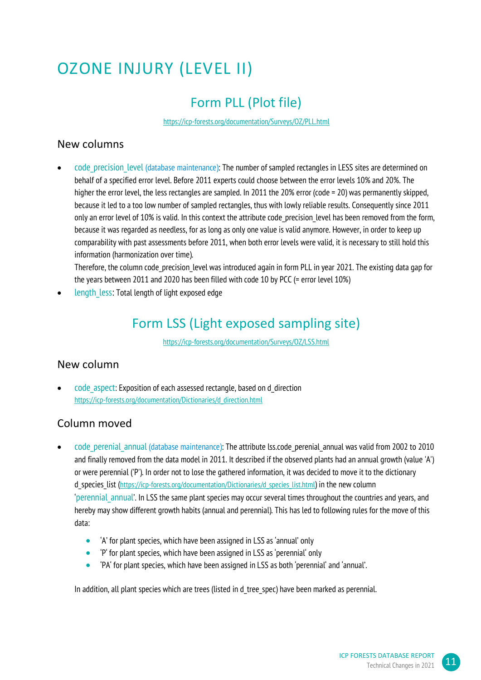# OZONE INJURY (LEVEL II)

# Form PLL (Plot file)

https://icp-forests.org/documentation/Surveys/OZ/PLL.html

### New columns

code precision level (database maintenance): The number of sampled rectangles in LESS sites are determined on behalf of a specified error level. Before 2011 experts could choose between the error levels 10% and 20%. The higher the error level, the less rectangles are sampled. In 2011 the 20% error (code = 20) was permanently skipped, because it led to a too low number of sampled rectangles, thus with lowly reliable results. Consequently since 2011 only an error level of 10% is valid. In this context the attribute code precision level has been removed from the form, because it was regarded as needless, for as long as only one value is valid anymore. However, in order to keep up comparability with past assessments before 2011, when both error levels were valid, it is necessary to still hold this information (harmonization over time).

Therefore, the column code precision level was introduced again in form PLL in year 2021. The existing data gap for the years between 2011 and 2020 has been filled with code 10 by PCC (= error level 10%)

length\_less: Total length of light exposed edge

# Form LSS (Light exposed sampling site)

https://icp-forests.org/documentation/Surveys/OZ/LSS.html

#### New column

code\_aspect: Exposition of each assessed rectangle, based on d\_direction https://icp-forests.org/documentation/Dictionaries/d\_direction.html

## Column moved

- code\_perenial\_annual (database maintenance): The attribute lss.code\_perenial\_annual was valid from 2002 to 2010 and finally removed from the data model in 2011. It described if the observed plants had an annual growth (value 'A') or were perennial ('P'). In order not to lose the gathered information, it was decided to move it to the dictionary d species list (https://icp-forests.org/documentation/Dictionaries/d species list.html) in the new column 'perennial\_annual'. In LSS the same plant species may occur several times throughout the countries and years, and hereby may show different growth habits (annual and perennial). This has led to following rules for the move of this data:
	- 'A' for plant species, which have been assigned in LSS as 'annual' only
	- 'P' for plant species, which have been assigned in LSS as 'perennial' only
	- 'PA' for plant species, which have been assigned in LSS as both 'perennial' and 'annual'.

In addition, all plant species which are trees (listed in d\_tree\_spec) have been marked as perennial.

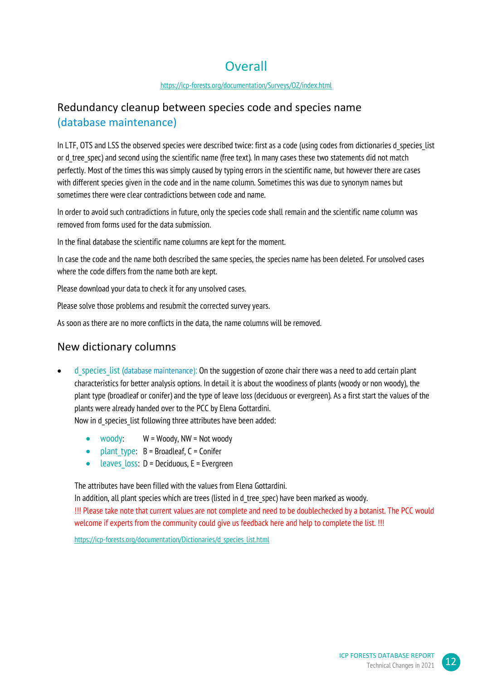# **Overall**

https://icp-forests.org/documentation/Surveys/OZ/index.html

## Redundancy cleanup between species code and species name (database maintenance)

In LTF, OTS and LSS the observed species were described twice: first as a code (using codes from dictionaries d species list or d tree spec) and second using the scientific name (free text). In many cases these two statements did not match perfectly. Most of the times this was simply caused by typing errors in the scientific name, but however there are cases with different species given in the code and in the name column. Sometimes this was due to synonym names but sometimes there were clear contradictions between code and name.

In order to avoid such contradictions in future, only the species code shall remain and the scientific name column was removed from forms used for the data submission.

In the final database the scientific name columns are kept for the moment.

In case the code and the name both described the same species, the species name has been deleted. For unsolved cases where the code differs from the name both are kept.

Please download your data to check it for any unsolved cases.

Please solve those problems and resubmit the corrected survey years.

As soon as there are no more conflicts in the data, the name columns will be removed.

## New dictionary columns

d species list (database maintenance): On the suggestion of ozone chair there was a need to add certain plant characteristics for better analysis options. In detail it is about the woodiness of plants (woody or non woody), the plant type (broadleaf or conifer) and the type of leave loss (deciduous or evergreen). As a first start the values of the plants were already handed over to the PCC by Elena Gottardini.

Now in d species list following three attributes have been added:

- $\bullet$  woody:  $W = W$ oody, NW = Not woody
- plant type:  $B =$  Broadleaf, C = Conifer
- $\bullet$  leaves loss: D = Deciduous, E = Evergreen

The attributes have been filled with the values from Elena Gottardini.

In addition, all plant species which are trees (listed in d tree spec) have been marked as woody. !!! Please take note that current values are not complete and need to be doublechecked by a botanist. The PCC would welcome if experts from the community could give us feedback here and help to complete the list. !!!

https://icp-forests.org/documentation/Dictionaries/d\_species\_list.html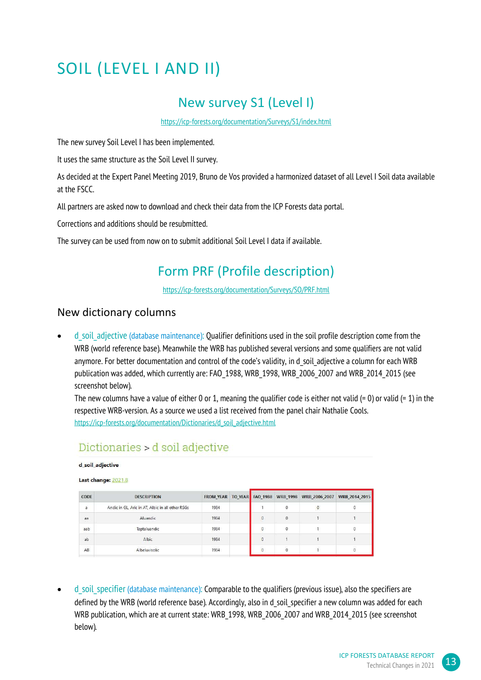# SOIL (LEVEL I AND II)

# New survey S1 (Level I)

https://icp-forests.org/documentation/Surveys/S1/index.html

The new survey Soil Level I has been implemented.

It uses the same structure as the Soil Level II survey.

As decided at the Expert Panel Meeting 2019, Bruno de Vos provided a harmonized dataset of all Level I Soil data available at the FSCC.

All partners are asked now to download and check their data from the ICP Forests data portal.

Corrections and additions should be resubmitted.

The survey can be used from now on to submit additional Soil Level I data if available.

# Form PRF (Profile description)

https://icp-forests.org/documentation/Surveys/SO/PRF.html

#### New dictionary columns

d soil adjective (database maintenance): Qualifier definitions used in the soil profile description come from the WRB (world reference base). Meanwhile the WRB has published several versions and some qualifiers are not valid anymore. For better documentation and control of the code's validity, in d soil adjective a column for each WRB publication was added, which currently are: FAO\_1988, WRB\_1998, WRB\_2006\_2007 and WRB\_2014\_2015 (see screenshot below).

The new columns have a value of either 0 or 1, meaning the qualifier code is either not valid (= 0) or valid (= 1) in the respective WRB-version. As a source we used a list received from the panel chair Nathalie Cools. https://icp-forests.org/documentation/Dictionaries/d\_soil\_adjective.html

## Dictionaries > d soil adjective

#### d\_soil\_adjective

Last change: 2021.8

| CODE                 | <b>DESCRIPTION</b>                               |      | <b>FROM YEAR</b> | TO YEAR FAO 1988 | <b>WRB 1998</b> | <b>WRB 2006 2007</b> | <b>WRB 2014 2015</b> |
|----------------------|--------------------------------------------------|------|------------------|------------------|-----------------|----------------------|----------------------|
| $\overline{a}$       | Andic in GL, Aric in AT, Albic in all other RSGs | 1984 |                  |                  | 0               | $\boldsymbol{0}$     |                      |
| aa                   | Aluandic                                         | 1984 |                  | $\mathbf{0}$     | 0               |                      |                      |
| aab                  | Taptaluandic                                     | 1984 |                  | $\mathbf{0}$     | 0               |                      | 0                    |
| ab                   | Albic                                            | 1984 |                  | $\mathbf{0}$     |                 |                      |                      |
| <b>CONTROL</b><br>AB | Albeluvisolic                                    | 1984 |                  | $\mathbf{0}$     |                 |                      |                      |

 d\_soil\_specifier (database maintenance): Comparable to the qualifiers (previous issue), also the specifiers are defined by the WRB (world reference base). Accordingly, also in d soil specifier a new column was added for each WRB publication, which are at current state: WRB 1998, WRB 2006 2007 and WRB 2014 2015 (see screenshot below).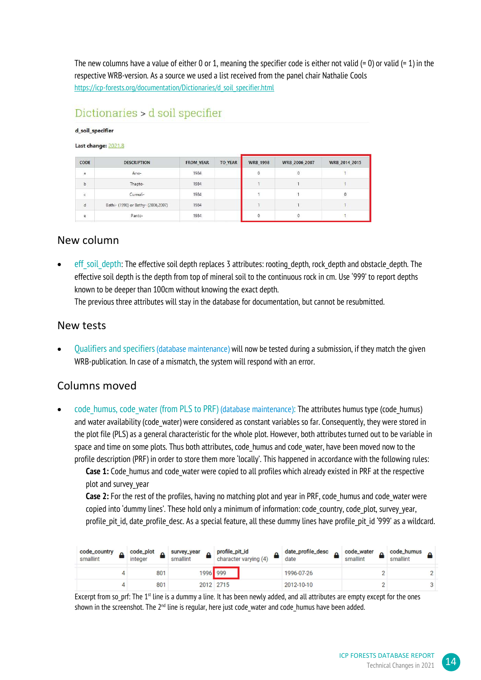The new columns have a value of either 0 or 1, meaning the specifier code is either not valid (= 0) or valid (= 1) in the respective WRB-version. As a source we used a list received from the panel chair Nathalie Cools https://icp-forests.org/documentation/Dictionaries/d\_soil\_specifier.html

## Dictionaries > d soil specifier

#### d\_soil\_specifier

Last change: 2021.8

| <b>CONTRACTOR</b><br>CODE | <b>DESCRIPTION</b>                  | <b>FROM YEAR</b> | <b>TO YEAR</b> | <b>WRB 1998</b> | <b>WRB 2006 2007</b> | <b>WRB 2014 2015</b> |
|---------------------------|-------------------------------------|------------------|----------------|-----------------|----------------------|----------------------|
| $\overline{a}$            | Ano-                                | 1984             |                | 0               |                      |                      |
| $\mathbf b$               | Thapto-                             | 1984             |                |                 |                      |                      |
| $\sf c$                   | Cumuli-                             | 1984             |                |                 |                      | $\theta$             |
| d                         | Bathi- (1998) or Bathy- (2006,2007) | 1984             |                |                 |                      |                      |
| $\mathsf{e}$              | Panto-                              | 1984             |                | 0               | $\Omega$             |                      |

#### New column

eff\_soil\_depth: The effective soil depth replaces 3 attributes: rooting\_depth, rock\_depth and obstacle\_depth. The effective soil depth is the depth from top of mineral soil to the continuous rock in cm. Use '999' to report depths known to be deeper than 100cm without knowing the exact depth.

The previous three attributes will stay in the database for documentation, but cannot be resubmitted.

#### New tests

 Qualifiers and specifiers (database maintenance) will now be tested during a submission, if they match the given WRB-publication. In case of a mismatch, the system will respond with an error.

#### Columns moved

code\_humus, code\_water (from PLS to PRF) (database maintenance): The attributes humus type (code\_humus) and water availability (code water) were considered as constant variables so far. Consequently, they were stored in the plot file (PLS) as a general characteristic for the whole plot. However, both attributes turned out to be variable in space and time on some plots. Thus both attributes, code humus and code water, have been moved now to the profile description (PRF) in order to store them more 'locally'. This happened in accordance with the following rules:

Case 1: Code humus and code water were copied to all profiles which already existed in PRF at the respective plot and survey\_year

**Case 2:** For the rest of the profiles, having no matching plot and year in PRF, code humus and code water were copied into 'dummy lines'. These hold only a minimum of information: code\_country, code\_plot, survey\_year, profile pit id, date profile desc. As a special feature, all these dummy lines have profile pit id '999' as a wildcard.

| code_country<br>smallint | code_plot<br>integer | survey_year<br>smallint | profile_pit_id<br>character varying (4) | date_profile_desc<br>date | code_water<br>smallint | code_humus<br>smallint |  |
|--------------------------|----------------------|-------------------------|-----------------------------------------|---------------------------|------------------------|------------------------|--|
|                          | 801                  | 1996 999                |                                         | 1996-07-26                |                        |                        |  |
|                          | 801                  |                         | 2012 2715                               | 2012-10-10                |                        |                        |  |

Excerpt from so prf: The 1<sup>st</sup> line is a dummy a line. It has been newly added, and all attributes are empty except for the ones shown in the screenshot. The  $2<sup>nd</sup>$  line is regular, here just code water and code humus have been added.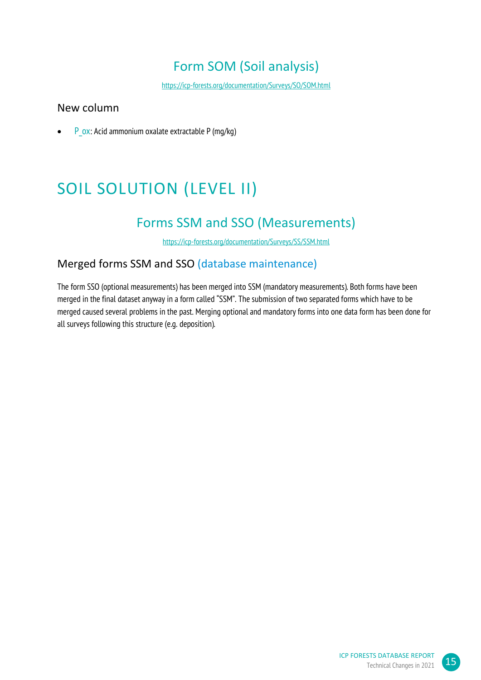# Form SOM (Soil analysis)

https://icp-forests.org/documentation/Surveys/SO/SOM.html

#### New column

 $\bullet$  P ox: Acid ammonium oxalate extractable P (mg/kg)

# SOIL SOLUTION (LEVEL II)

# Forms SSM and SSO (Measurements)

https://icp-forests.org/documentation/Surveys/SS/SSM.html

## Merged forms SSM and SSO (database maintenance)

The form SSO (optional measurements) has been merged into SSM (mandatory measurements). Both forms have been merged in the final dataset anyway in a form called "SSM". The submission of two separated forms which have to be merged caused several problems in the past. Merging optional and mandatory forms into one data form has been done for all surveys following this structure (e.g. deposition).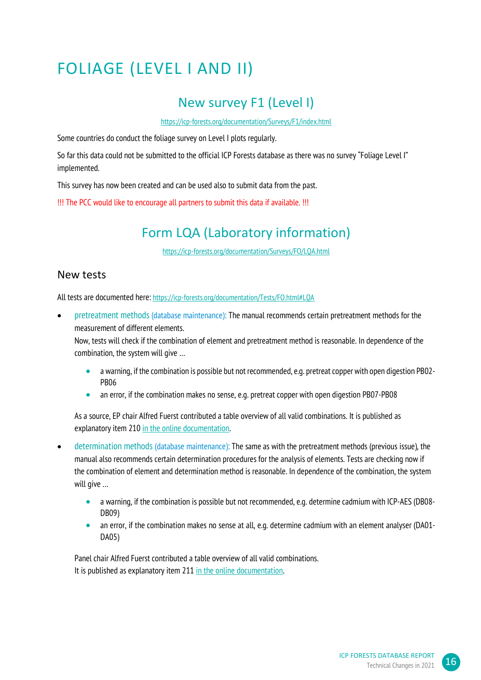# FOLIAGE (LEVEL I AND II)

## New survey F1 (Level I)

https://icp-forests.org/documentation/Surveys/F1/index.html

Some countries do conduct the foliage survey on Level I plots regularly.

So far this data could not be submitted to the official ICP Forests database as there was no survey "Foliage Level I" implemented.

This survey has now been created and can be used also to submit data from the past.

!!! The PCC would like to encourage all partners to submit this data if available. !!!

# Form LQA (Laboratory information)

https://icp-forests.org/documentation/Surveys/FO/LQA.html

#### New tests

All tests are documented here: https://icp-forests.org/documentation/Tests/FO.html#LQA

 pretreatment methods (database maintenance): The manual recommends certain pretreatment methods for the measurement of different elements.

Now, tests will check if the combination of element and pretreatment method is reasonable. In dependence of the combination, the system will give …

- a warning, if the combination is possible but not recommended, e.g. pretreat copper with open digestion PB02- PB06
- an error, if the combination makes no sense, e.g. pretreat copper with open digestion PB07-PB08

As a source, EP chair Alfred Fuerst contributed a table overview of all valid combinations. It is published as explanatory item 210 in the online documentation.

- determination methods (database maintenance): The same as with the pretreatment methods (previous issue), the manual also recommends certain determination procedures for the analysis of elements. Tests are checking now if the combination of element and determination method is reasonable. In dependence of the combination, the system will give …
	- a warning, if the combination is possible but not recommended, e.g. determine cadmium with ICP-AES (DB08- DB09)
	- an error, if the combination makes no sense at all, e.g. determine cadmium with an element analyser (DA01- DA05)

Panel chair Alfred Fuerst contributed a table overview of all valid combinations. It is published as explanatory item 211 in the online documentation.

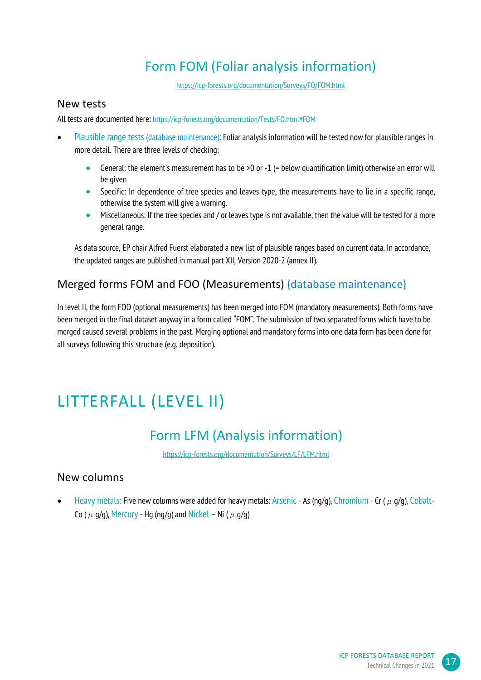# Form FOM (Foliar analysis information)

https://icp-forests.org/documentation/Surveys/FO/FOM.html

#### New tests

All tests are documented here: https://icp-forests.org/documentation/Tests/FO.html#FOM

- Plausible range tests (database maintenance): Foliar analysis information will be tested now for plausible ranges in more detail. There are three levels of checking:
	- General: the element's measurement has to be  $>0$  or  $-1$  (= below quantification limit) otherwise an error will be given
	- Specific: In dependence of tree species and leaves type, the measurements have to lie in a specific range, otherwise the system will give a warning.
	- Miscellaneous: If the tree species and / or leaves type is not available, then the value will be tested for a more general range.

As data source, EP chair Alfred Fuerst elaborated a new list of plausible ranges based on current data. In accordance, the updated ranges are published in manual part XII, Version 2020-2 (annex II).

## Merged forms FOM and FOO (Measurements) (database maintenance)

In level II, the form FOO (optional measurements) has been merged into FOM (mandatory measurements). Both forms have been merged in the final dataset anyway in a form called "FOM". The submission of two separated forms which have to be merged caused several problems in the past. Merging optional and mandatory forms into one data form has been done for all surveys following this structure (e.g. deposition).

# LITTERFALL (LEVEL II)

# Form LFM (Analysis information)

https://icp-forests.org/documentation/Surveys/LF/LFM.html

#### New columns

Heavy metals: Five new columns were added for heavy metals: Arsenic - As (ng/g), Chromium - Cr ( $\mu$  g/g), Cobalt-Co ( $\mu$  g/g), Mercury - Hg (ng/g) and Nickel – Ni ( $\mu$  g/g)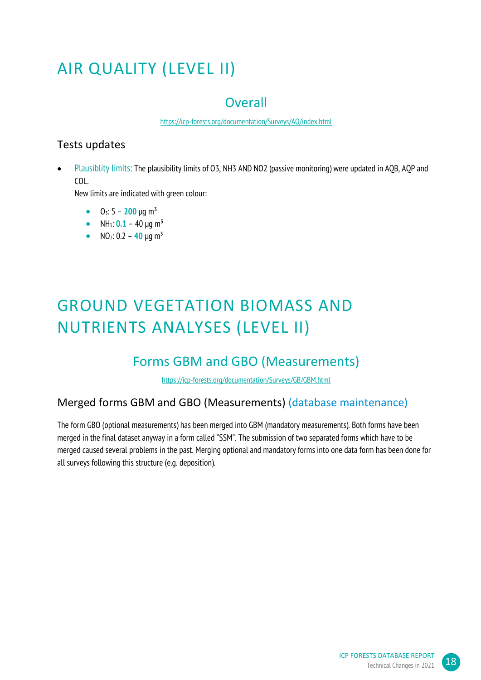# AIR QUALITY (LEVEL II)

# **Overall**

https://icp-forests.org/documentation/Surveys/AQ/index.html

### Tests updates

 Plausiblity limits: The plausibility limits of O3, NH3 AND NO2 (passive monitoring) were updated in AQB, AQP and COL.

New limits are indicated with green colour:

- $\bullet$  0<sub>3</sub>: 5 200 µg m<sup>3</sup>
- NH<sub>3</sub>:  $0.1 40 \mu q \, m^3$
- $NO_2$ : 0.2 40 µg m<sup>3</sup>

# GROUND VEGETATION BIOMASS AND NUTRIENTS ANALYSES (LEVEL II)

# Forms GBM and GBO (Measurements)

https://icp-forests.org/documentation/Surveys/GB/GBM.html

## Merged forms GBM and GBO (Measurements) (database maintenance)

The form GBO (optional measurements) has been merged into GBM (mandatory measurements). Both forms have been merged in the final dataset anyway in a form called "SSM". The submission of two separated forms which have to be merged caused several problems in the past. Merging optional and mandatory forms into one data form has been done for all surveys following this structure (e.g. deposition).